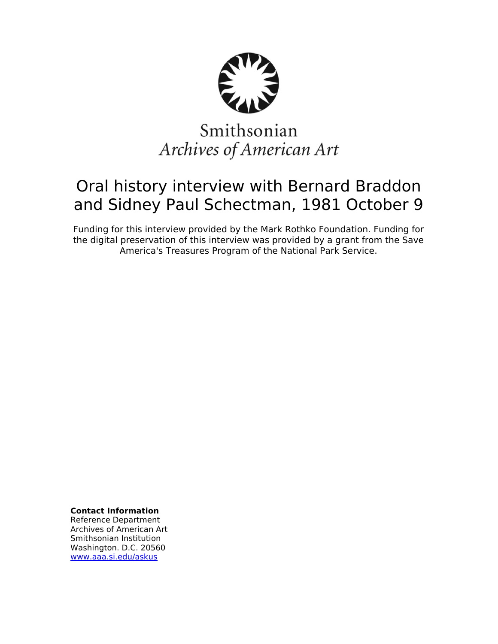

# Smithsonian Archives of American Art

## Oral history interview with Bernard Braddon and Sidney Paul Schectman, 1981 October 9

Funding for this interview provided by the Mark Rothko Foundation. Funding for the digital preservation of this interview was provided by a grant from the Save America's Treasures Program of the National Park Service.

**Contact Information**

Reference Department Archives of American Art Smithsonian Institution Washington. D.C. 20560 [www.aaa.si.edu/askus](http://www.aaa.si.edu/askus)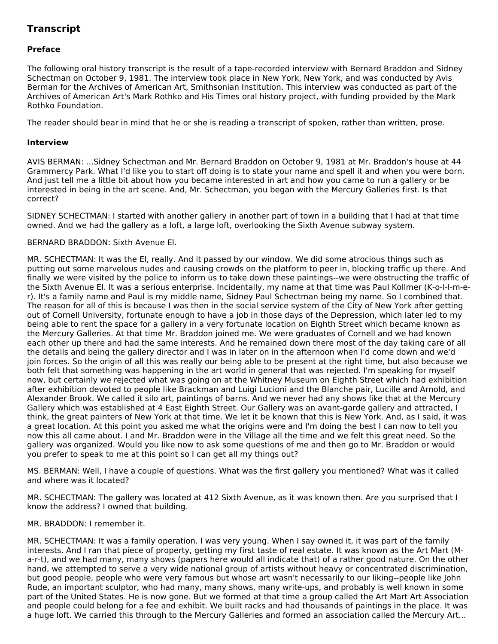### **Transcript**

#### **Preface**

The following oral history transcript is the result of a tape-recorded interview with Bernard Braddon and Sidney Schectman on October 9, 1981. The interview took place in New York, New York, and was conducted by Avis Berman for the Archives of American Art, Smithsonian Institution. This interview was conducted as part of the Archives of American Art's Mark Rothko and His Times oral history project, with funding provided by the Mark Rothko Foundation.

The reader should bear in mind that he or she is reading a transcript of spoken, rather than written, prose.

#### **Interview**

AVIS BERMAN: ...Sidney Schectman and Mr. Bernard Braddon on October 9, 1981 at Mr. Braddon's house at 44 Grammercy Park. What I'd like you to start off doing is to state your name and spell it and when you were born. And just tell me a little bit about how you became interested in art and how you came to run a gallery or be interested in being in the art scene. And, Mr. Schectman, you began with the Mercury Galleries first. Is that correct?

SIDNEY SCHECTMAN: I started with another gallery in another part of town in a building that I had at that time owned. And we had the gallery as a loft, a large loft, overlooking the Sixth Avenue subway system.

#### BERNARD BRADDON: Sixth Avenue El.

MR. SCHECTMAN: It was the El, really. And it passed by our window. We did some atrocious things such as putting out some marvelous nudes and causing crowds on the platform to peer in, blocking traffic up there. And finally we were visited by the police to inform us to take down these paintings--we were obstructing the traffic of the Sixth Avenue El. It was a serious enterprise. Incidentally, my name at that time was Paul Kollmer (K-o-l-l-m-er). It's a family name and Paul is my middle name, Sidney Paul Schectman being my name. So I combined that. The reason for all of this is because I was then in the social service system of the City of New York after getting out of Cornell University, fortunate enough to have a job in those days of the Depression, which later led to my being able to rent the space for a gallery in a very fortunate location on Eighth Street which became known as the Mercury Galleries. At that time Mr. Braddon joined me. We were graduates of Cornell and we had known each other up there and had the same interests. And he remained down there most of the day taking care of all the details and being the gallery director and I was in later on in the afternoon when I'd come down and we'd join forces. So the origin of all this was really our being able to be present at the right time, but also because we both felt that something was happening in the art world in general that was rejected. I'm speaking for myself now, but certainly we rejected what was going on at the Whitney Museum on Eighth Street which had exhibition after exhibition devoted to people like Brackman and Luigi Lucioni and the Blanche pair, Lucille and Arnold, and Alexander Brook. We called it silo art, paintings of barns. And we never had any shows like that at the Mercury Gallery which was established at 4 East Eighth Street. Our Gallery was an avant-garde gallery and attracted, I think, the great painters of New York at that time. We let it be known that this is New York. And, as I said, it was a great location. At this point you asked me what the origins were and I'm doing the best I can now to tell you now this all came about. I and Mr. Braddon were in the Village all the time and we felt this great need. So the gallery was organized. Would you like now to ask some questions of me and then go to Mr. Braddon or would you prefer to speak to me at this point so I can get all my things out?

MS. BERMAN: Well, I have a couple of questions. What was the first gallery you mentioned? What was it called and where was it located?

MR. SCHECTMAN: The gallery was located at 412 Sixth Avenue, as it was known then. Are you surprised that I know the address? I owned that building.

#### MR. BRADDON: I remember it.

MR. SCHECTMAN: It was a family operation. I was very young. When I say owned it, it was part of the family interests. And I ran that piece of property, getting my first taste of real estate. It was known as the Art Mart (Ma-r-t), and we had many, many shows (papers here would all indicate that) of a rather good nature. On the other hand, we attempted to serve a very wide national group of artists without heavy or concentrated discrimination, but good people, people who were very famous but whose art wasn't necessarily to our liking--people like John Rude, an important sculptor, who had many, many shows, many write-ups, and probably is well known in some part of the United States. He is now gone. But we formed at that time a group called the Art Mart Art Association and people could belong for a fee and exhibit. We built racks and had thousands of paintings in the place. It was a huge loft. We carried this through to the Mercury Galleries and formed an association called the Mercury Art...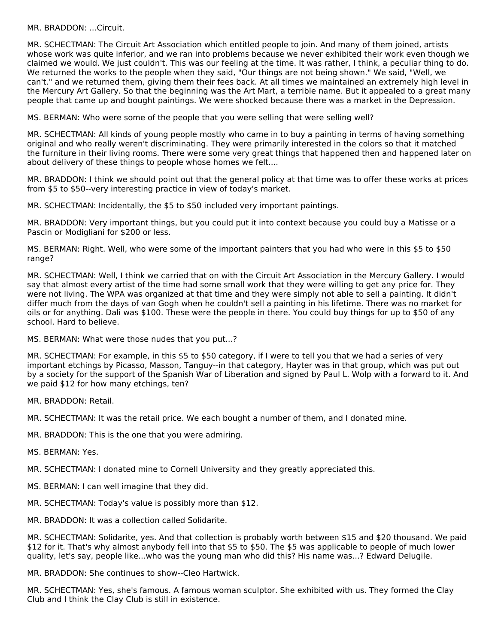MR. BRADDON: ...Circuit.

MR. SCHECTMAN: The Circuit Art Association which entitled people to join. And many of them joined, artists whose work was quite inferior, and we ran into problems because we never exhibited their work even though we claimed we would. We just couldn't. This was our feeling at the time. It was rather, I think, a peculiar thing to do. We returned the works to the people when they said, "Our things are not being shown." We said, "Well, we can't." and we returned them, giving them their fees back. At all times we maintained an extremely high level in the Mercury Art Gallery. So that the beginning was the Art Mart, a terrible name. But it appealed to a great many people that came up and bought paintings. We were shocked because there was a market in the Depression.

MS. BERMAN: Who were some of the people that you were selling that were selling well?

MR. SCHECTMAN: All kinds of young people mostly who came in to buy a painting in terms of having something original and who really weren't discriminating. They were primarily interested in the colors so that it matched the furniture in their living rooms. There were some very great things that happened then and happened later on about delivery of these things to people whose homes we felt....

MR. BRADDON: I think we should point out that the general policy at that time was to offer these works at prices from \$5 to \$50--very interesting practice in view of today's market.

MR. SCHECTMAN: Incidentally, the \$5 to \$50 included very important paintings.

MR. BRADDON: Very important things, but you could put it into context because you could buy a Matisse or a Pascin or Modigliani for \$200 or less.

MS. BERMAN: Right. Well, who were some of the important painters that you had who were in this \$5 to \$50 range?

MR. SCHECTMAN: Well, I think we carried that on with the Circuit Art Association in the Mercury Gallery. I would say that almost every artist of the time had some small work that they were willing to get any price for. They were not living. The WPA was organized at that time and they were simply not able to sell a painting. It didn't differ much from the days of van Gogh when he couldn't sell a painting in his lifetime. There was no market for oils or for anything. Dali was \$100. These were the people in there. You could buy things for up to \$50 of any school. Hard to believe.

MS. BERMAN: What were those nudes that you put...?

MR. SCHECTMAN: For example, in this \$5 to \$50 category, if I were to tell you that we had a series of very important etchings by Picasso, Masson, Tanguy--in that category, Hayter was in that group, which was put out by a society for the support of the Spanish War of Liberation and signed by Paul L. Wolp with a forward to it. And we paid \$12 for how many etchings, ten?

MR. BRADDON: Retail.

MR. SCHECTMAN: It was the retail price. We each bought a number of them, and I donated mine.

MR. BRADDON: This is the one that you were admiring.

MS. BERMAN: Yes.

MR. SCHECTMAN: I donated mine to Cornell University and they greatly appreciated this.

MS. BERMAN: I can well imagine that they did.

MR. SCHECTMAN: Today's value is possibly more than \$12.

MR. BRADDON: It was a collection called Solidarite.

MR. SCHECTMAN: Solidarite, yes. And that collection is probably worth between \$15 and \$20 thousand. We paid \$12 for it. That's why almost anybody fell into that \$5 to \$50. The \$5 was applicable to people of much lower quality, let's say, people like...who was the young man who did this? His name was...? Edward Delugile.

MR. BRADDON: She continues to show--Cleo Hartwick.

MR. SCHECTMAN: Yes, she's famous. A famous woman sculptor. She exhibited with us. They formed the Clay Club and I think the Clay Club is still in existence.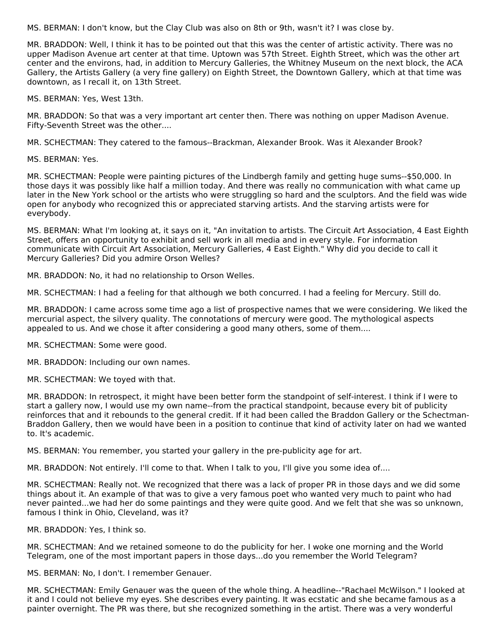MS. BERMAN: I don't know, but the Clay Club was also on 8th or 9th, wasn't it? I was close by.

MR. BRADDON: Well, I think it has to be pointed out that this was the center of artistic activity. There was no upper Madison Avenue art center at that time. Uptown was 57th Street. Eighth Street, which was the other art center and the environs, had, in addition to Mercury Galleries, the Whitney Museum on the next block, the ACA Gallery, the Artists Gallery (a very fine gallery) on Eighth Street, the Downtown Gallery, which at that time was downtown, as I recall it, on 13th Street.

MS. BERMAN: Yes, West 13th.

MR. BRADDON: So that was a very important art center then. There was nothing on upper Madison Avenue. Fifty-Seventh Street was the other....

MR. SCHECTMAN: They catered to the famous--Brackman, Alexander Brook. Was it Alexander Brook?

MS. BERMAN: Yes.

MR. SCHECTMAN: People were painting pictures of the Lindbergh family and getting huge sums--\$50,000. In those days it was possibly like half a million today. And there was really no communication with what came up later in the New York school or the artists who were struggling so hard and the sculptors. And the field was wide open for anybody who recognized this or appreciated starving artists. And the starving artists were for everybody.

MS. BERMAN: What I'm looking at, it says on it, "An invitation to artists. The Circuit Art Association, 4 East Eighth Street, offers an opportunity to exhibit and sell work in all media and in every style. For information communicate with Circuit Art Association, Mercury Galleries, 4 East Eighth." Why did you decide to call it Mercury Galleries? Did you admire Orson Welles?

MR. BRADDON: No, it had no relationship to Orson Welles.

MR. SCHECTMAN: I had a feeling for that although we both concurred. I had a feeling for Mercury. Still do.

MR. BRADDON: I came across some time ago a list of prospective names that we were considering. We liked the mercurial aspect, the silvery quality. The connotations of mercury were good. The mythological aspects appealed to us. And we chose it after considering a good many others, some of them....

MR. SCHECTMAN: Some were good.

MR. BRADDON: Including our own names.

MR. SCHECTMAN: We toyed with that.

MR. BRADDON: In retrospect, it might have been better form the standpoint of self-interest. I think if I were to start a gallery now, I would use my own name--from the practical standpoint, because every bit of publicity reinforces that and it rebounds to the general credit. If it had been called the Braddon Gallery or the Schectman-Braddon Gallery, then we would have been in a position to continue that kind of activity later on had we wanted to. It's academic.

MS. BERMAN: You remember, you started your gallery in the pre-publicity age for art.

MR. BRADDON: Not entirely. I'll come to that. When I talk to you, I'll give you some idea of....

MR. SCHECTMAN: Really not. We recognized that there was a lack of proper PR in those days and we did some things about it. An example of that was to give a very famous poet who wanted very much to paint who had never painted...we had her do some paintings and they were quite good. And we felt that she was so unknown, famous I think in Ohio, Cleveland, was it?

MR. BRADDON: Yes, I think so.

MR. SCHECTMAN: And we retained someone to do the publicity for her. I woke one morning and the World Telegram, one of the most important papers in those days...do you remember the World Telegram?

MS. BERMAN: No, I don't. I remember Genauer.

MR. SCHECTMAN: Emily Genauer was the queen of the whole thing. A headline--"Rachael McWilson." I looked at it and I could not believe my eyes. She describes every painting. It was ecstatic and she became famous as a painter overnight. The PR was there, but she recognized something in the artist. There was a very wonderful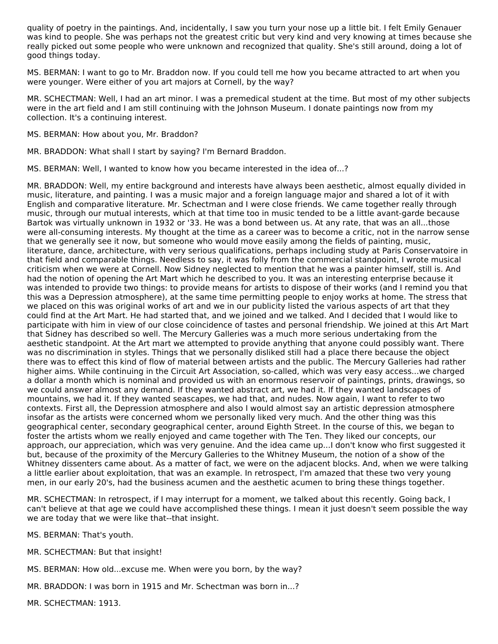quality of poetry in the paintings. And, incidentally, I saw you turn your nose up a little bit. I felt Emily Genauer was kind to people. She was perhaps not the greatest critic but very kind and very knowing at times because she really picked out some people who were unknown and recognized that quality. She's still around, doing a lot of good things today.

MS. BERMAN: I want to go to Mr. Braddon now. If you could tell me how you became attracted to art when you were younger. Were either of you art majors at Cornell, by the way?

MR. SCHECTMAN: Well, I had an art minor. I was a premedical student at the time. But most of my other subjects were in the art field and I am still continuing with the Johnson Museum. I donate paintings now from my collection. It's a continuing interest.

MS. BERMAN: How about you, Mr. Braddon?

MR. BRADDON: What shall I start by saying? I'm Bernard Braddon.

MS. BERMAN: Well, I wanted to know how you became interested in the idea of...?

MR. BRADDON: Well, my entire background and interests have always been aesthetic, almost equally divided in music, literature, and painting. I was a music major and a foreign language major and shared a lot of it with English and comparative literature. Mr. Schectman and I were close friends. We came together really through music, through our mutual interests, which at that time too in music tended to be a little avant-garde because Bartok was virtually unknown in 1932 or '33. He was a bond between us. At any rate, that was an all...those were all-consuming interests. My thought at the time as a career was to become a critic, not in the narrow sense that we generally see it now, but someone who would move easily among the fields of painting, music, literature, dance, architecture, with very serious qualifications, perhaps including study at Paris Conservatoire in that field and comparable things. Needless to say, it was folly from the commercial standpoint, I wrote musical criticism when we were at Cornell. Now Sidney neglected to mention that he was a painter himself, still is. And had the notion of opening the Art Mart which he described to you. It was an interesting enterprise because it was intended to provide two things: to provide means for artists to dispose of their works (and I remind you that this was a Depression atmosphere), at the same time permitting people to enjoy works at home. The stress that we placed on this was original works of art and we in our publicity listed the various aspects of art that they could find at the Art Mart. He had started that, and we joined and we talked. And I decided that I would like to participate with him in view of our close coincidence of tastes and personal friendship. We joined at this Art Mart that Sidney has described so well. The Mercury Galleries was a much more serious undertaking from the aesthetic standpoint. At the Art mart we attempted to provide anything that anyone could possibly want. There was no discrimination in styles. Things that we personally disliked still had a place there because the object there was to effect this kind of flow of material between artists and the public. The Mercury Galleries had rather higher aims. While continuing in the Circuit Art Association, so-called, which was very easy access...we charged a dollar a month which is nominal and provided us with an enormous reservoir of paintings, prints, drawings, so we could answer almost any demand. If they wanted abstract art, we had it. If they wanted landscapes of mountains, we had it. If they wanted seascapes, we had that, and nudes. Now again, I want to refer to two contexts. First all, the Depression atmosphere and also I would almost say an artistic depression atmosphere insofar as the artists were concerned whom we personally liked very much. And the other thing was this geographical center, secondary geographical center, around Eighth Street. In the course of this, we began to foster the artists whom we really enjoyed and came together with The Ten. They liked our concepts, our approach, our appreciation, which was very genuine. And the idea came up...I don't know who first suggested it but, because of the proximity of the Mercury Galleries to the Whitney Museum, the notion of a show of the Whitney dissenters came about. As a matter of fact, we were on the adjacent blocks. And, when we were talking a little earlier about exploitation, that was an example. In retrospect, I'm amazed that these two very young men, in our early 20's, had the business acumen and the aesthetic acumen to bring these things together.

MR. SCHECTMAN: In retrospect, if I may interrupt for a moment, we talked about this recently. Going back, I can't believe at that age we could have accomplished these things. I mean it just doesn't seem possible the way we are today that we were like that--that insight.

MS. BERMAN: That's youth.

MR. SCHECTMAN: But that insight!

MS. BERMAN: How old...excuse me. When were you born, by the way?

MR. BRADDON: I was born in 1915 and Mr. Schectman was born in...?

MR. SCHECTMAN: 1913.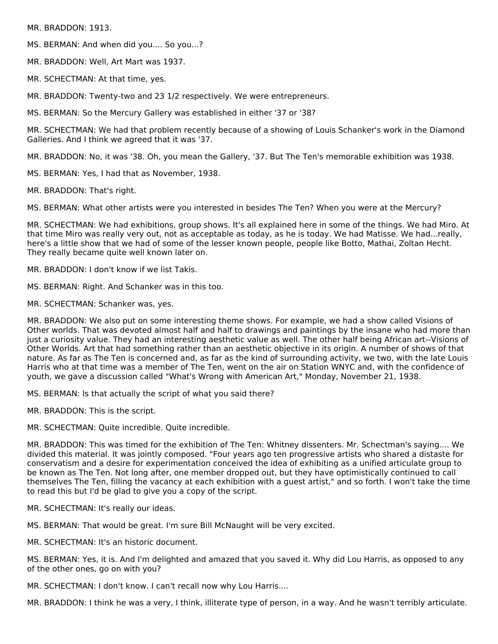MR. BRADDON: 1913.

MS. BERMAN: And when did you.... So you...?

MR. BRADDON: Well, Art Mart was 1937.

MR. SCHECTMAN: At that time, yes.

MR. BRADDON: Twenty-two and 23 1/2 respectively. We were entrepreneurs.

MS. BERMAN: So the Mercury Gallery was established in either '37 or '38?

MR. SCHECTMAN: We had that problem recently because of a showing of Louis Schanker's work in the Diamond Galleries. And I think we agreed that it was '37.

MR. BRADDON: No, it was '38. Oh, you mean the Gallery, '37. But The Ten's memorable exhibition was 1938.

MS. BERMAN: Yes, I had that as November, 1938.

MR. BRADDON: That's right.

MS. BERMAN: What other artists were you interested in besides The Ten? When you were at the Mercury?

MR. SCHECTMAN: We had exhibitions, group shows. It's all explained here in some of the things. We had Miro. At that time Miro was really very out, not as acceptable as today, as he is today. We had Matisse. We had...really, here's a little show that we had of some of the lesser known people, people like Botto, Mathai, Zoltan Hecht. They really became quite well known later on.

MR. BRADDON: I don't know if we list Takis.

MS. BERMAN: Right. And Schanker was in this too.

MR. SCHECTMAN: Schanker was, yes.

MR. BRADDON: We also put on some interesting theme shows. For example, we had a show called Visions of Other worlds. That was devoted almost half and half to drawings and paintings by the insane who had more than just a curiosity value. They had an interesting aesthetic value as well. The other half being African art--Visions of Other Worlds. Art that had something rather than an aesthetic objective in its origin. A number of shows of that nature. As far as The Ten is concerned and, as far as the kind of surrounding activity, we two, with the late Louis Harris who at that time was a member of The Ten, went on the air on Station WNYC and, with the confidence of youth, we gave a discussion called "What's Wrong with American Art," Monday, November 21, 1938.

MS. BERMAN: Is that actually the script of what you said there?

MR. BRADDON: This is the script.

MR. SCHECTMAN: Quite incredible. Quite incredible.

MR. BRADDON: This was timed for the exhibition of The Ten: Whitney dissenters. Mr. Schectman's saying.... We divided this material. It was jointly composed. "Four years ago ten progressive artists who shared a distaste for conservatism and a desire for experimentation conceived the idea of exhibiting as a unified articulate group to be known as The Ten. Not long after, one member dropped out, but they have optimistically continued to call themselves The Ten, filling the vacancy at each exhibition with a guest artist," and so forth. I won't take the time to read this but I'd be glad to give you a copy of the script.

MR. SCHECTMAN: It's really our ideas.

MS. BERMAN: That would be great. I'm sure Bill McNaught will be very excited.

MR. SCHECTMAN: It's an historic document.

MS. BERMAN: Yes, it is. And I'm delighted and amazed that you saved it. Why did Lou Harris, as opposed to any of the other ones, go on with you?

MR. SCHECTMAN: I don't know. I can't recall now why Lou Harris....

MR. BRADDON: I think he was a very, I think, illiterate type of person, in a way. And he wasn't terribly articulate.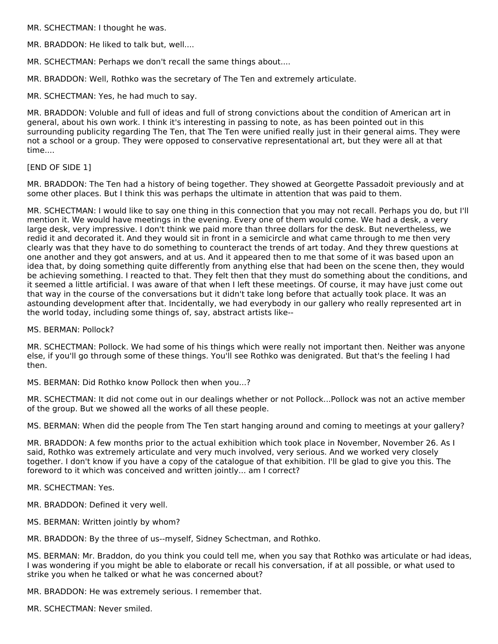MR. SCHECTMAN: I thought he was.

MR. BRADDON: He liked to talk but, well....

MR. SCHECTMAN: Perhaps we don't recall the same things about....

MR. BRADDON: Well, Rothko was the secretary of The Ten and extremely articulate.

MR. SCHECTMAN: Yes, he had much to say.

MR. BRADDON: Voluble and full of ideas and full of strong convictions about the condition of American art in general, about his own work. I think it's interesting in passing to note, as has been pointed out in this surrounding publicity regarding The Ten, that The Ten were unified really just in their general aims. They were not a school or a group. They were opposed to conservative representational art, but they were all at that time....

#### [END OF SIDE 1]

MR. BRADDON: The Ten had a history of being together. They showed at Georgette Passadoit previously and at some other places. But I think this was perhaps the ultimate in attention that was paid to them.

MR. SCHECTMAN: I would like to say one thing in this connection that you may not recall. Perhaps you do, but I'll mention it. We would have meetings in the evening. Every one of them would come. We had a desk, a very large desk, very impressive. I don't think we paid more than three dollars for the desk. But nevertheless, we redid it and decorated it. And they would sit in front in a semicircle and what came through to me then very clearly was that they have to do something to counteract the trends of art today. And they threw questions at one another and they got answers, and at us. And it appeared then to me that some of it was based upon an idea that, by doing something quite differently from anything else that had been on the scene then, they would be achieving something. I reacted to that. They felt then that they must do something about the conditions, and it seemed a little artificial. I was aware of that when I left these meetings. Of course, it may have just come out that way in the course of the conversations but it didn't take long before that actually took place. It was an astounding development after that. Incidentally, we had everybody in our gallery who really represented art in the world today, including some things of, say, abstract artists like--

MS. BERMAN: Pollock?

MR. SCHECTMAN: Pollock. We had some of his things which were really not important then. Neither was anyone else, if you'll go through some of these things. You'll see Rothko was denigrated. But that's the feeling I had then.

MS. BERMAN: Did Rothko know Pollock then when you...?

MR. SCHECTMAN: It did not come out in our dealings whether or not Pollock...Pollock was not an active member of the group. But we showed all the works of all these people.

MS. BERMAN: When did the people from The Ten start hanging around and coming to meetings at your gallery?

MR. BRADDON: A few months prior to the actual exhibition which took place in November, November 26. As I said, Rothko was extremely articulate and very much involved, very serious. And we worked very closely together. I don't know if you have a copy of the catalogue of that exhibition. I'll be glad to give you this. The foreword to it which was conceived and written jointly... am I correct?

MR. SCHECTMAN: Yes.

MR. BRADDON: Defined it very well.

MS. BERMAN: Written jointly by whom?

MR. BRADDON: By the three of us--myself, Sidney Schectman, and Rothko.

MS. BERMAN: Mr. Braddon, do you think you could tell me, when you say that Rothko was articulate or had ideas, I was wondering if you might be able to elaborate or recall his conversation, if at all possible, or what used to strike you when he talked or what he was concerned about?

MR. BRADDON: He was extremely serious. I remember that.

MR. SCHECTMAN: Never smiled.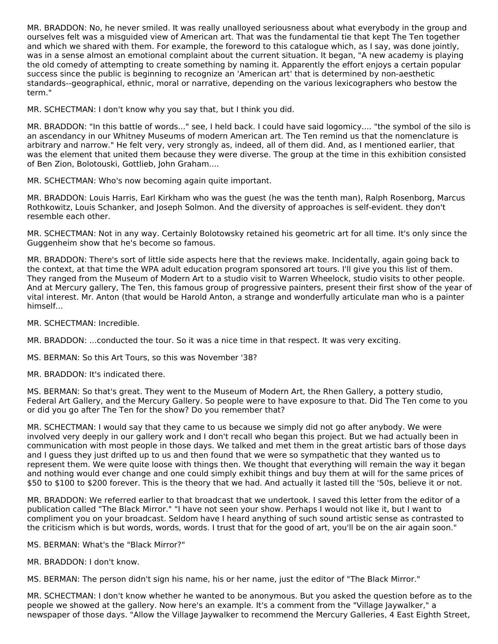MR. BRADDON: No, he never smiled. It was really unalloyed seriousness about what everybody in the group and ourselves felt was a misguided view of American art. That was the fundamental tie that kept The Ten together and which we shared with them. For example, the foreword to this catalogue which, as I say, was done jointly, was in a sense almost an emotional complaint about the current situation. It began, "A new academy is playing the old comedy of attempting to create something by naming it. Apparently the effort enjoys a certain popular success since the public is beginning to recognize an 'American art' that is determined by non-aesthetic standards--geographical, ethnic, moral or narrative, depending on the various lexicographers who bestow the term."

MR. SCHECTMAN: I don't know why you say that, but I think you did.

MR. BRADDON: "In this battle of words..." see, I held back. I could have said logomicy.... "the symbol of the silo is an ascendancy in our Whitney Museums of modern American art. The Ten remind us that the nomenclature is arbitrary and narrow." He felt very, very strongly as, indeed, all of them did. And, as I mentioned earlier, that was the element that united them because they were diverse. The group at the time in this exhibition consisted of Ben Zion, Bolotouski, Gottlieb, John Graham....

MR. SCHECTMAN: Who's now becoming again quite important.

MR. BRADDON: Louis Harris, Earl Kirkham who was the guest (he was the tenth man), Ralph Rosenborg, Marcus Rothkowitz, Louis Schanker, and Joseph Solmon. And the diversity of approaches is self-evident. they don't resemble each other.

MR. SCHECTMAN: Not in any way. Certainly Bolotowsky retained his geometric art for all time. It's only since the Guggenheim show that he's become so famous.

MR. BRADDON: There's sort of little side aspects here that the reviews make. Incidentally, again going back to the context, at that time the WPA adult education program sponsored art tours. I'll give you this list of them. They ranged from the Museum of Modern Art to a studio visit to Warren Wheelock, studio visits to other people. And at Mercury gallery, The Ten, this famous group of progressive painters, present their first show of the year of vital interest. Mr. Anton (that would be Harold Anton, a strange and wonderfully articulate man who is a painter himself...

MR. SCHECTMAN: Incredible.

MR. BRADDON: ...conducted the tour. So it was a nice time in that respect. It was very exciting.

MS. BERMAN: So this Art Tours, so this was November '38?

MR. BRADDON: It's indicated there.

MS. BERMAN: So that's great. They went to the Museum of Modern Art, the Rhen Gallery, a pottery studio, Federal Art Gallery, and the Mercury Gallery. So people were to have exposure to that. Did The Ten come to you or did you go after The Ten for the show? Do you remember that?

MR. SCHECTMAN: I would say that they came to us because we simply did not go after anybody. We were involved very deeply in our gallery work and I don't recall who began this project. But we had actually been in communication with most people in those days. We talked and met them in the great artistic bars of those days and I guess they just drifted up to us and then found that we were so sympathetic that they wanted us to represent them. We were quite loose with things then. We thought that everything will remain the way it began and nothing would ever change and one could simply exhibit things and buy them at will for the same prices of \$50 to \$100 to \$200 forever. This is the theory that we had. And actually it lasted till the '50s, believe it or not.

MR. BRADDON: We referred earlier to that broadcast that we undertook. I saved this letter from the editor of a publication called "The Black Mirror." "I have not seen your show. Perhaps I would not like it, but I want to compliment you on your broadcast. Seldom have I heard anything of such sound artistic sense as contrasted to the criticism which is but words, words, words. I trust that for the good of art, you'll be on the air again soon."

MS. BERMAN: What's the "Black Mirror?"

MR. BRADDON: I don't know.

MS. BERMAN: The person didn't sign his name, his or her name, just the editor of "The Black Mirror."

MR. SCHECTMAN: I don't know whether he wanted to be anonymous. But you asked the question before as to the people we showed at the gallery. Now here's an example. It's a comment from the "Village Jaywalker," a newspaper of those days. "Allow the Village Jaywalker to recommend the Mercury Galleries, 4 East Eighth Street,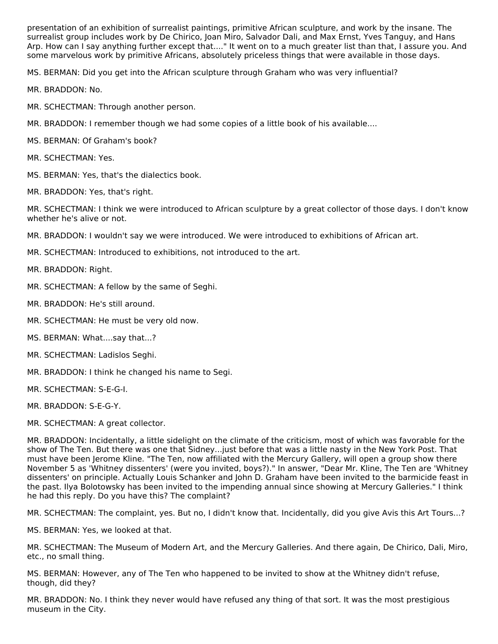presentation of an exhibition of surrealist paintings, primitive African sculpture, and work by the insane. The surrealist group includes work by De Chirico, Joan Miro, Salvador Dali, and Max Ernst, Yves Tanguy, and Hans Arp. How can I say anything further except that...." It went on to a much greater list than that, I assure you. And some marvelous work by primitive Africans, absolutely priceless things that were available in those days.

MS. BERMAN: Did you get into the African sculpture through Graham who was very influential?

- MR. BRADDON: No.
- MR. SCHECTMAN: Through another person.
- MR. BRADDON: I remember though we had some copies of a little book of his available....
- MS. BERMAN: Of Graham's book?
- MR. SCHECTMAN: Yes.
- MS. BERMAN: Yes, that's the dialectics book.
- MR. BRADDON: Yes, that's right.

MR. SCHECTMAN: I think we were introduced to African sculpture by a great collector of those days. I don't know whether he's alive or not.

- MR. BRADDON: I wouldn't say we were introduced. We were introduced to exhibitions of African art.
- MR. SCHECTMAN: Introduced to exhibitions, not introduced to the art.
- MR. BRADDON: Right.
- MR. SCHECTMAN: A fellow by the same of Seghi.
- MR. BRADDON: He's still around.
- MR. SCHECTMAN: He must be very old now.
- MS. BERMAN: What....say that...?
- MR. SCHECTMAN: Ladislos Seghi.
- MR. BRADDON: I think he changed his name to Segi.
- MR. SCHECTMAN: S-E-G-I.
- MR. BRADDON: S-E-G-Y.
- MR. SCHECTMAN: A great collector.

MR. BRADDON: Incidentally, a little sidelight on the climate of the criticism, most of which was favorable for the show of The Ten. But there was one that Sidney...just before that was a little nasty in the New York Post. That must have been Jerome Kline. "The Ten, now affiliated with the Mercury Gallery, will open a group show there November 5 as 'Whitney dissenters' (were you invited, boys?)." In answer, "Dear Mr. Kline, The Ten are 'Whitney dissenters' on principle. Actually Louis Schanker and John D. Graham have been invited to the barmicide feast in the past. Ilya Bolotowsky has been invited to the impending annual since showing at Mercury Galleries." I think he had this reply. Do you have this? The complaint?

MR. SCHECTMAN: The complaint, yes. But no, I didn't know that. Incidentally, did you give Avis this Art Tours...?

MS. BERMAN: Yes, we looked at that.

MR. SCHECTMAN: The Museum of Modern Art, and the Mercury Galleries. And there again, De Chirico, Dali, Miro, etc., no small thing.

MS. BERMAN: However, any of The Ten who happened to be invited to show at the Whitney didn't refuse, though, did they?

MR. BRADDON: No. I think they never would have refused any thing of that sort. It was the most prestigious museum in the City.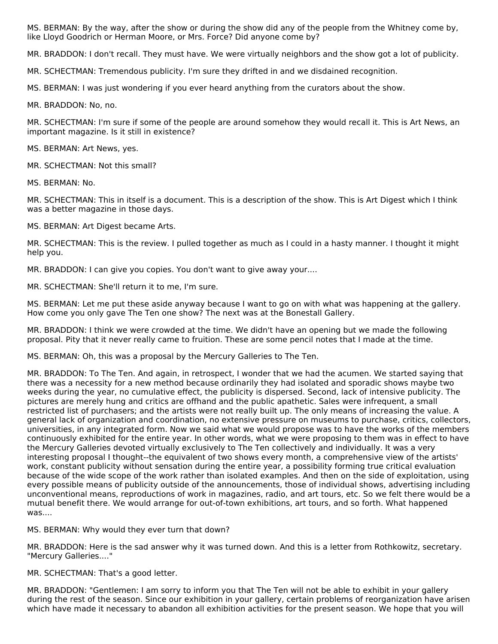MS. BERMAN: By the way, after the show or during the show did any of the people from the Whitney come by, like Lloyd Goodrich or Herman Moore, or Mrs. Force? Did anyone come by?

MR. BRADDON: I don't recall. They must have. We were virtually neighbors and the show got a lot of publicity.

MR. SCHECTMAN: Tremendous publicity. I'm sure they drifted in and we disdained recognition.

MS. BERMAN: I was just wondering if you ever heard anything from the curators about the show.

MR. BRADDON: No, no.

MR. SCHECTMAN: I'm sure if some of the people are around somehow they would recall it. This is Art News, an important magazine. Is it still in existence?

MS. BERMAN: Art News, yes.

MR. SCHECTMAN: Not this small?

MS. BERMAN: No.

MR. SCHECTMAN: This in itself is a document. This is a description of the show. This is Art Digest which I think was a better magazine in those days.

MS. BERMAN: Art Digest became Arts.

MR. SCHECTMAN: This is the review. I pulled together as much as I could in a hasty manner. I thought it might help you.

MR. BRADDON: I can give you copies. You don't want to give away your....

MR. SCHECTMAN: She'll return it to me, I'm sure.

MS. BERMAN: Let me put these aside anyway because I want to go on with what was happening at the gallery. How come you only gave The Ten one show? The next was at the Bonestall Gallery.

MR. BRADDON: I think we were crowded at the time. We didn't have an opening but we made the following proposal. Pity that it never really came to fruition. These are some pencil notes that I made at the time.

MS. BERMAN: Oh, this was a proposal by the Mercury Galleries to The Ten.

MR. BRADDON: To The Ten. And again, in retrospect, I wonder that we had the acumen. We started saying that there was a necessity for a new method because ordinarily they had isolated and sporadic shows maybe two weeks during the year, no cumulative effect, the publicity is dispersed. Second, lack of intensive publicity. The pictures are merely hung and critics are offhand and the public apathetic. Sales were infrequent, a small restricted list of purchasers; and the artists were not really built up. The only means of increasing the value. A general lack of organization and coordination, no extensive pressure on museums to purchase, critics, collectors, universities, in any integrated form. Now we said what we would propose was to have the works of the members continuously exhibited for the entire year. In other words, what we were proposing to them was in effect to have the Mercury Galleries devoted virtually exclusively to The Ten collectively and individually. It was a very interesting proposal I thought--the equivalent of two shows every month, a comprehensive view of the artists' work, constant publicity without sensation during the entire year, a possibility forming true critical evaluation because of the wide scope of the work rather than isolated examples. And then on the side of exploitation, using every possible means of publicity outside of the announcements, those of individual shows, advertising including unconventional means, reproductions of work in magazines, radio, and art tours, etc. So we felt there would be a mutual benefit there. We would arrange for out-of-town exhibitions, art tours, and so forth. What happened was....

MS. BERMAN: Why would they ever turn that down?

MR. BRADDON: Here is the sad answer why it was turned down. And this is a letter from Rothkowitz, secretary. "Mercury Galleries...."

MR. SCHECTMAN: That's a good letter.

MR. BRADDON: "Gentlemen: I am sorry to inform you that The Ten will not be able to exhibit in your gallery during the rest of the season. Since our exhibition in your gallery, certain problems of reorganization have arisen which have made it necessary to abandon all exhibition activities for the present season. We hope that you will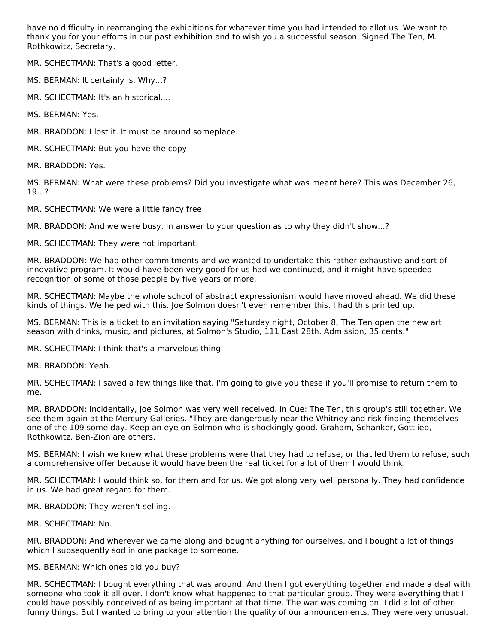have no difficulty in rearranging the exhibitions for whatever time you had intended to allot us. We want to thank you for your efforts in our past exhibition and to wish you a successful season. Signed The Ten, M. Rothkowitz, Secretary.

MR. SCHECTMAN: That's a good letter.

MS. BERMAN: It certainly is. Why...?

MR. SCHECTMAN: It's an historical....

MS. BERMAN: Yes.

MR. BRADDON: I lost it. It must be around someplace.

MR. SCHECTMAN: But you have the copy.

MR. BRADDON: Yes.

MS. BERMAN: What were these problems? Did you investigate what was meant here? This was December 26, 19...?

MR. SCHECTMAN: We were a little fancy free.

MR. BRADDON: And we were busy. In answer to your question as to why they didn't show...?

MR. SCHECTMAN: They were not important.

MR. BRADDON: We had other commitments and we wanted to undertake this rather exhaustive and sort of innovative program. It would have been very good for us had we continued, and it might have speeded recognition of some of those people by five years or more.

MR. SCHECTMAN: Maybe the whole school of abstract expressionism would have moved ahead. We did these kinds of things. We helped with this. Joe Solmon doesn't even remember this. I had this printed up.

MS. BERMAN: This is a ticket to an invitation saying "Saturday night, October 8, The Ten open the new art season with drinks, music, and pictures, at Solmon's Studio, 111 East 28th. Admission, 35 cents."

MR. SCHECTMAN: I think that's a marvelous thing.

MR. BRADDON: Yeah.

MR. SCHECTMAN: I saved a few things like that. I'm going to give you these if you'll promise to return them to me.

MR. BRADDON: Incidentally, Joe Solmon was very well received. In Cue: The Ten, this group's still together. We see them again at the Mercury Galleries. "They are dangerously near the Whitney and risk finding themselves one of the 109 some day. Keep an eye on Solmon who is shockingly good. Graham, Schanker, Gottlieb, Rothkowitz, Ben-Zion are others.

MS. BERMAN: I wish we knew what these problems were that they had to refuse, or that led them to refuse, such a comprehensive offer because it would have been the real ticket for a lot of them I would think.

MR. SCHECTMAN: I would think so, for them and for us. We got along very well personally. They had confidence in us. We had great regard for them.

MR. BRADDON: They weren't selling.

MR. SCHECTMAN: No.

MR. BRADDON: And wherever we came along and bought anything for ourselves, and I bought a lot of things which I subsequently sod in one package to someone.

#### MS. BERMAN: Which ones did you buy?

MR. SCHECTMAN: I bought everything that was around. And then I got everything together and made a deal with someone who took it all over. I don't know what happened to that particular group. They were everything that I could have possibly conceived of as being important at that time. The war was coming on. I did a lot of other funny things. But I wanted to bring to your attention the quality of our announcements. They were very unusual.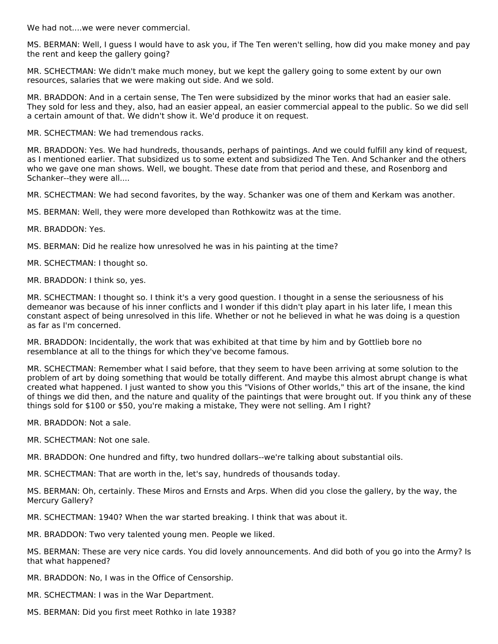We had not....we were never commercial.

MS. BERMAN: Well, I guess I would have to ask you, if The Ten weren't selling, how did you make money and pay the rent and keep the gallery going?

MR. SCHECTMAN: We didn't make much money, but we kept the gallery going to some extent by our own resources, salaries that we were making out side. And we sold.

MR. BRADDON: And in a certain sense, The Ten were subsidized by the minor works that had an easier sale. They sold for less and they, also, had an easier appeal, an easier commercial appeal to the public. So we did sell a certain amount of that. We didn't show it. We'd produce it on request.

MR. SCHECTMAN: We had tremendous racks.

MR. BRADDON: Yes. We had hundreds, thousands, perhaps of paintings. And we could fulfill any kind of request, as I mentioned earlier. That subsidized us to some extent and subsidized The Ten. And Schanker and the others who we gave one man shows. Well, we bought. These date from that period and these, and Rosenborg and Schanker--they were all....

MR. SCHECTMAN: We had second favorites, by the way. Schanker was one of them and Kerkam was another.

MS. BERMAN: Well, they were more developed than Rothkowitz was at the time.

MR. BRADDON: Yes.

MS. BERMAN: Did he realize how unresolved he was in his painting at the time?

MR. SCHECTMAN: I thought so.

MR. BRADDON: I think so, yes.

MR. SCHECTMAN: I thought so. I think it's a very good question. I thought in a sense the seriousness of his demeanor was because of his inner conflicts and I wonder if this didn't play apart in his later life, I mean this constant aspect of being unresolved in this life. Whether or not he believed in what he was doing is a question as far as I'm concerned.

MR. BRADDON: Incidentally, the work that was exhibited at that time by him and by Gottlieb bore no resemblance at all to the things for which they've become famous.

MR. SCHECTMAN: Remember what I said before, that they seem to have been arriving at some solution to the problem of art by doing something that would be totally different. And maybe this almost abrupt change is what created what happened. I just wanted to show you this "Visions of Other worlds," this art of the insane, the kind of things we did then, and the nature and quality of the paintings that were brought out. If you think any of these things sold for \$100 or \$50, you're making a mistake, They were not selling. Am I right?

MR. BRADDON: Not a sale.

MR. SCHECTMAN: Not one sale.

MR. BRADDON: One hundred and fifty, two hundred dollars--we're talking about substantial oils.

MR. SCHECTMAN: That are worth in the, let's say, hundreds of thousands today.

MS. BERMAN: Oh, certainly. These Miros and Ernsts and Arps. When did you close the gallery, by the way, the Mercury Gallery?

MR. SCHECTMAN: 1940? When the war started breaking. I think that was about it.

MR. BRADDON: Two very talented young men. People we liked.

MS. BERMAN: These are very nice cards. You did lovely announcements. And did both of you go into the Army? Is that what happened?

MR. BRADDON: No, I was in the Office of Censorship.

MR. SCHECTMAN: I was in the War Department.

MS. BERMAN: Did you first meet Rothko in late 1938?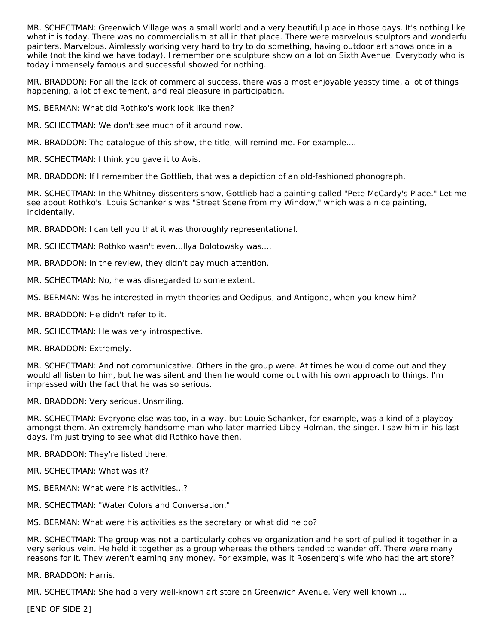MR. SCHECTMAN: Greenwich Village was a small world and a very beautiful place in those days. It's nothing like what it is today. There was no commercialism at all in that place. There were marvelous sculptors and wonderful painters. Marvelous. Aimlessly working very hard to try to do something, having outdoor art shows once in a while (not the kind we have today). I remember one sculpture show on a lot on Sixth Avenue. Everybody who is today immensely famous and successful showed for nothing.

MR. BRADDON: For all the lack of commercial success, there was a most enjoyable yeasty time, a lot of things happening, a lot of excitement, and real pleasure in participation.

MS. BERMAN: What did Rothko's work look like then?

MR. SCHECTMAN: We don't see much of it around now.

MR. BRADDON: The catalogue of this show, the title, will remind me. For example....

MR. SCHECTMAN: I think you gave it to Avis.

MR. BRADDON: If I remember the Gottlieb, that was a depiction of an old-fashioned phonograph.

MR. SCHECTMAN: In the Whitney dissenters show, Gottlieb had a painting called "Pete McCardy's Place." Let me see about Rothko's. Louis Schanker's was "Street Scene from my Window," which was a nice painting, incidentally.

MR. BRADDON: I can tell you that it was thoroughly representational.

MR. SCHECTMAN: Rothko wasn't even...Ilya Bolotowsky was....

MR. BRADDON: In the review, they didn't pay much attention.

- MR. SCHECTMAN: No, he was disregarded to some extent.
- MS. BERMAN: Was he interested in myth theories and Oedipus, and Antigone, when you knew him?
- MR. BRADDON: He didn't refer to it.
- MR. SCHECTMAN: He was very introspective.

MR. BRADDON: Extremely.

MR. SCHECTMAN: And not communicative. Others in the group were. At times he would come out and they would all listen to him, but he was silent and then he would come out with his own approach to things. I'm impressed with the fact that he was so serious.

MR. BRADDON: Very serious. Unsmiling.

MR. SCHECTMAN: Everyone else was too, in a way, but Louie Schanker, for example, was a kind of a playboy amongst them. An extremely handsome man who later married Libby Holman, the singer. I saw him in his last days. I'm just trying to see what did Rothko have then.

MR. BRADDON: They're listed there.

- MR. SCHECTMAN: What was it?
- MS. BERMAN: What were his activities...?
- MR. SCHECTMAN: "Water Colors and Conversation."

MS. BERMAN: What were his activities as the secretary or what did he do?

MR. SCHECTMAN: The group was not a particularly cohesive organization and he sort of pulled it together in a very serious vein. He held it together as a group whereas the others tended to wander off. There were many reasons for it. They weren't earning any money. For example, was it Rosenberg's wife who had the art store?

MR. BRADDON: Harris.

MR. SCHECTMAN: She had a very well-known art store on Greenwich Avenue. Very well known....

[END OF SIDE 2]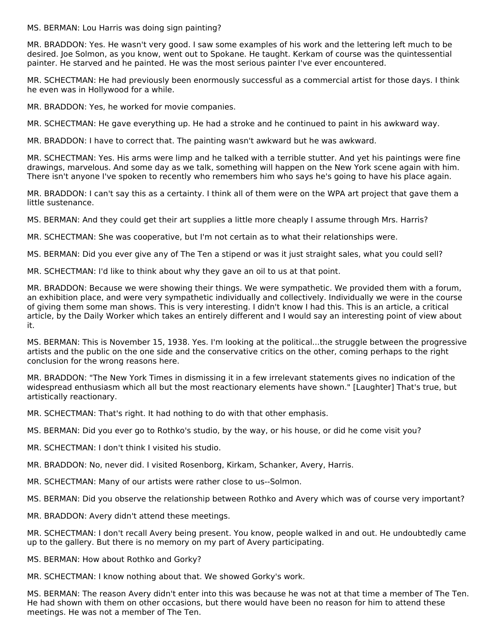MS. BERMAN: Lou Harris was doing sign painting?

MR. BRADDON: Yes. He wasn't very good. I saw some examples of his work and the lettering left much to be desired. Joe Solmon, as you know, went out to Spokane. He taught. Kerkam of course was the quintessential painter. He starved and he painted. He was the most serious painter I've ever encountered.

MR. SCHECTMAN: He had previously been enormously successful as a commercial artist for those days. I think he even was in Hollywood for a while.

MR. BRADDON: Yes, he worked for movie companies.

MR. SCHECTMAN: He gave everything up. He had a stroke and he continued to paint in his awkward way.

MR. BRADDON: I have to correct that. The painting wasn't awkward but he was awkward.

MR. SCHECTMAN: Yes. His arms were limp and he talked with a terrible stutter. And yet his paintings were fine drawings, marvelous. And some day as we talk, something will happen on the New York scene again with him. There isn't anyone I've spoken to recently who remembers him who says he's going to have his place again.

MR. BRADDON: I can't say this as a certainty. I think all of them were on the WPA art project that gave them a little sustenance.

MS. BERMAN: And they could get their art supplies a little more cheaply I assume through Mrs. Harris?

MR. SCHECTMAN: She was cooperative, but I'm not certain as to what their relationships were.

MS. BERMAN: Did you ever give any of The Ten a stipend or was it just straight sales, what you could sell?

MR. SCHECTMAN: I'd like to think about why they gave an oil to us at that point.

MR. BRADDON: Because we were showing their things. We were sympathetic. We provided them with a forum, an exhibition place, and were very sympathetic individually and collectively. Individually we were in the course of giving them some man shows. This is very interesting. I didn't know I had this. This is an article, a critical article, by the Daily Worker which takes an entirely different and I would say an interesting point of view about it.

MS. BERMAN: This is November 15, 1938. Yes. I'm looking at the political...the struggle between the progressive artists and the public on the one side and the conservative critics on the other, coming perhaps to the right conclusion for the wrong reasons here.

MR. BRADDON: "The New York Times in dismissing it in a few irrelevant statements gives no indication of the widespread enthusiasm which all but the most reactionary elements have shown." [Laughter] That's true, but artistically reactionary.

MR. SCHECTMAN: That's right. It had nothing to do with that other emphasis.

MS. BERMAN: Did you ever go to Rothko's studio, by the way, or his house, or did he come visit you?

MR. SCHECTMAN: I don't think I visited his studio.

MR. BRADDON: No, never did. I visited Rosenborg, Kirkam, Schanker, Avery, Harris.

MR. SCHECTMAN: Many of our artists were rather close to us--Solmon.

MS. BERMAN: Did you observe the relationship between Rothko and Avery which was of course very important?

MR. BRADDON: Avery didn't attend these meetings.

MR. SCHECTMAN: I don't recall Avery being present. You know, people walked in and out. He undoubtedly came up to the gallery. But there is no memory on my part of Avery participating.

MS. BERMAN: How about Rothko and Gorky?

MR. SCHECTMAN: I know nothing about that. We showed Gorky's work.

MS. BERMAN: The reason Avery didn't enter into this was because he was not at that time a member of The Ten. He had shown with them on other occasions, but there would have been no reason for him to attend these meetings. He was not a member of The Ten.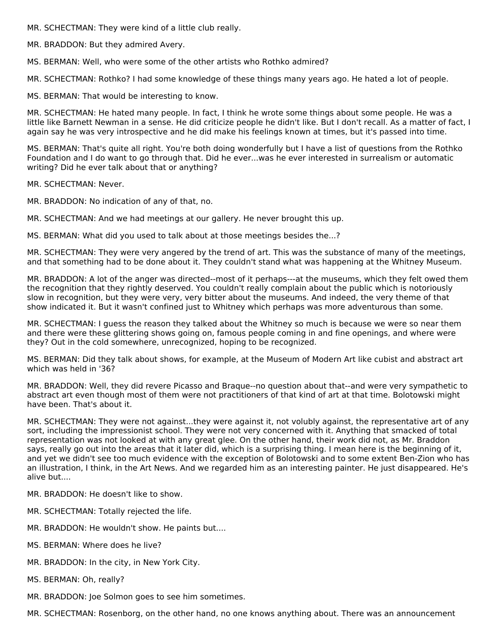MR. SCHECTMAN: They were kind of a little club really.

MR. BRADDON: But they admired Avery.

MS. BERMAN: Well, who were some of the other artists who Rothko admired?

MR. SCHECTMAN: Rothko? I had some knowledge of these things many years ago. He hated a lot of people.

MS. BERMAN: That would be interesting to know.

MR. SCHECTMAN: He hated many people. In fact, I think he wrote some things about some people. He was a little like Barnett Newman in a sense. He did criticize people he didn't like. But I don't recall. As a matter of fact, I again say he was very introspective and he did make his feelings known at times, but it's passed into time.

MS. BERMAN: That's quite all right. You're both doing wonderfully but I have a list of questions from the Rothko Foundation and I do want to go through that. Did he ever...was he ever interested in surrealism or automatic writing? Did he ever talk about that or anything?

MR. SCHECTMAN: Never.

MR. BRADDON: No indication of any of that, no.

MR. SCHECTMAN: And we had meetings at our gallery. He never brought this up.

MS. BERMAN: What did you used to talk about at those meetings besides the...?

MR. SCHECTMAN: They were very angered by the trend of art. This was the substance of many of the meetings, and that something had to be done about it. They couldn't stand what was happening at the Whitney Museum.

MR. BRADDON: A lot of the anger was directed--most of it perhaps---at the museums, which they felt owed them the recognition that they rightly deserved. You couldn't really complain about the public which is notoriously slow in recognition, but they were very, very bitter about the museums. And indeed, the very theme of that show indicated it. But it wasn't confined just to Whitney which perhaps was more adventurous than some.

MR. SCHECTMAN: I guess the reason they talked about the Whitney so much is because we were so near them and there were these glittering shows going on, famous people coming in and fine openings, and where were they? Out in the cold somewhere, unrecognized, hoping to be recognized.

MS. BERMAN: Did they talk about shows, for example, at the Museum of Modern Art like cubist and abstract art which was held in '36?

MR. BRADDON: Well, they did revere Picasso and Braque--no question about that--and were very sympathetic to abstract art even though most of them were not practitioners of that kind of art at that time. Bolotowski might have been. That's about it.

MR. SCHECTMAN: They were not against...they were against it, not volubly against, the representative art of any sort, including the impressionist school. They were not very concerned with it. Anything that smacked of total representation was not looked at with any great glee. On the other hand, their work did not, as Mr. Braddon says, really go out into the areas that it later did, which is a surprising thing. I mean here is the beginning of it, and yet we didn't see too much evidence with the exception of Bolotowski and to some extent Ben-Zion who has an illustration, I think, in the Art News. And we regarded him as an interesting painter. He just disappeared. He's alive but....

MR. BRADDON: He doesn't like to show.

- MR. SCHECTMAN: Totally rejected the life.
- MR. BRADDON: He wouldn't show. He paints but....
- MS. BERMAN: Where does he live?
- MR. BRADDON: In the city, in New York City.
- MS. BERMAN: Oh, really?
- MR. BRADDON: Joe Solmon goes to see him sometimes.

MR. SCHECTMAN: Rosenborg, on the other hand, no one knows anything about. There was an announcement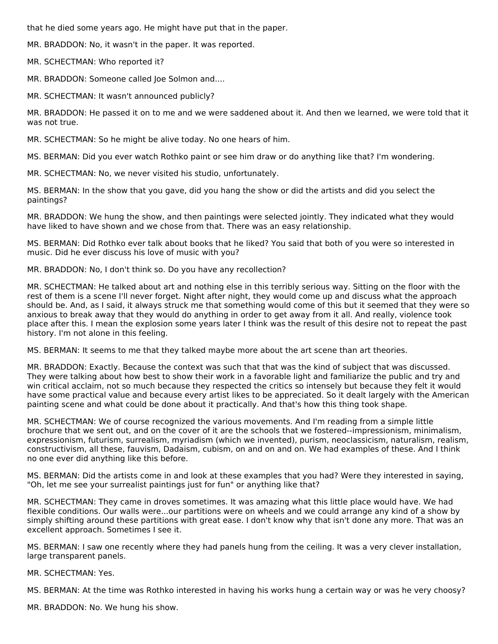that he died some years ago. He might have put that in the paper.

MR. BRADDON: No, it wasn't in the paper. It was reported.

MR. SCHECTMAN: Who reported it?

MR. BRADDON: Someone called Joe Solmon and....

MR. SCHECTMAN: It wasn't announced publicly?

MR. BRADDON: He passed it on to me and we were saddened about it. And then we learned, we were told that it was not true.

MR. SCHECTMAN: So he might be alive today. No one hears of him.

MS. BERMAN: Did you ever watch Rothko paint or see him draw or do anything like that? I'm wondering.

MR. SCHECTMAN: No, we never visited his studio, unfortunately.

MS. BERMAN: In the show that you gave, did you hang the show or did the artists and did you select the paintings?

MR. BRADDON: We hung the show, and then paintings were selected jointly. They indicated what they would have liked to have shown and we chose from that. There was an easy relationship.

MS. BERMAN: Did Rothko ever talk about books that he liked? You said that both of you were so interested in music. Did he ever discuss his love of music with you?

MR. BRADDON: No, I don't think so. Do you have any recollection?

MR. SCHECTMAN: He talked about art and nothing else in this terribly serious way. Sitting on the floor with the rest of them is a scene I'll never forget. Night after night, they would come up and discuss what the approach should be. And, as I said, it always struck me that something would come of this but it seemed that they were so anxious to break away that they would do anything in order to get away from it all. And really, violence took place after this. I mean the explosion some years later I think was the result of this desire not to repeat the past history. I'm not alone in this feeling.

MS. BERMAN: It seems to me that they talked maybe more about the art scene than art theories.

MR. BRADDON: Exactly. Because the context was such that that was the kind of subject that was discussed. They were talking about how best to show their work in a favorable light and familiarize the public and try and win critical acclaim, not so much because they respected the critics so intensely but because they felt it would have some practical value and because every artist likes to be appreciated. So it dealt largely with the American painting scene and what could be done about it practically. And that's how this thing took shape.

MR. SCHECTMAN: We of course recognized the various movements. And I'm reading from a simple little brochure that we sent out, and on the cover of it are the schools that we fostered--impressionism, minimalism, expressionism, futurism, surrealism, myriadism (which we invented), purism, neoclassicism, naturalism, realism, constructivism, all these, fauvism, Dadaism, cubism, on and on and on. We had examples of these. And I think no one ever did anything like this before.

MS. BERMAN: Did the artists come in and look at these examples that you had? Were they interested in saying, "Oh, let me see your surrealist paintings just for fun" or anything like that?

MR. SCHECTMAN: They came in droves sometimes. It was amazing what this little place would have. We had flexible conditions. Our walls were...our partitions were on wheels and we could arrange any kind of a show by simply shifting around these partitions with great ease. I don't know why that isn't done any more. That was an excellent approach. Sometimes I see it.

MS. BERMAN: I saw one recently where they had panels hung from the ceiling. It was a very clever installation, large transparent panels.

MR. SCHECTMAN: Yes.

MS. BERMAN: At the time was Rothko interested in having his works hung a certain way or was he very choosy?

MR. BRADDON: No. We hung his show.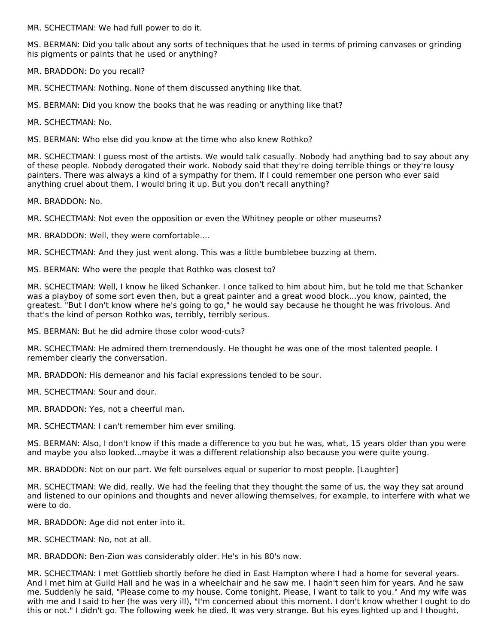MR. SCHECTMAN: We had full power to do it.

MS. BERMAN: Did you talk about any sorts of techniques that he used in terms of priming canvases or grinding his pigments or paints that he used or anything?

MR. BRADDON: Do you recall?

MR. SCHECTMAN: Nothing. None of them discussed anything like that.

MS. BERMAN: Did you know the books that he was reading or anything like that?

MR. SCHECTMAN: No.

MS. BERMAN: Who else did you know at the time who also knew Rothko?

MR. SCHECTMAN: I guess most of the artists. We would talk casually. Nobody had anything bad to say about any of these people. Nobody derogated their work. Nobody said that they're doing terrible things or they're lousy painters. There was always a kind of a sympathy for them. If I could remember one person who ever said anything cruel about them, I would bring it up. But you don't recall anything?

MR. BRADDON: No.

MR. SCHECTMAN: Not even the opposition or even the Whitney people or other museums?

MR. BRADDON: Well, they were comfortable....

MR. SCHECTMAN: And they just went along. This was a little bumblebee buzzing at them.

MS. BERMAN: Who were the people that Rothko was closest to?

MR. SCHECTMAN: Well, I know he liked Schanker. I once talked to him about him, but he told me that Schanker was a playboy of some sort even then, but a great painter and a great wood block...you know, painted, the greatest. "But I don't know where he's going to go," he would say because he thought he was frivolous. And that's the kind of person Rothko was, terribly, terribly serious.

MS. BERMAN: But he did admire those color wood-cuts?

MR. SCHECTMAN: He admired them tremendously. He thought he was one of the most talented people. I remember clearly the conversation.

MR. BRADDON: His demeanor and his facial expressions tended to be sour.

MR. SCHECTMAN: Sour and dour.

MR. BRADDON: Yes, not a cheerful man.

MR. SCHECTMAN: I can't remember him ever smiling.

MS. BERMAN: Also, I don't know if this made a difference to you but he was, what, 15 years older than you were and maybe you also looked...maybe it was a different relationship also because you were quite young.

MR. BRADDON: Not on our part. We felt ourselves equal or superior to most people. [Laughter]

MR. SCHECTMAN: We did, really. We had the feeling that they thought the same of us, the way they sat around and listened to our opinions and thoughts and never allowing themselves, for example, to interfere with what we were to do.

MR. BRADDON: Age did not enter into it.

MR. SCHECTMAN: No, not at all.

MR. BRADDON: Ben-Zion was considerably older. He's in his 80's now.

MR. SCHECTMAN: I met Gottlieb shortly before he died in East Hampton where I had a home for several years. And I met him at Guild Hall and he was in a wheelchair and he saw me. I hadn't seen him for years. And he saw me. Suddenly he said, "Please come to my house. Come tonight. Please, I want to talk to you." And my wife was with me and I said to her (he was very ill), "I'm concerned about this moment. I don't know whether I ought to do this or not." I didn't go. The following week he died. It was very strange. But his eyes lighted up and I thought,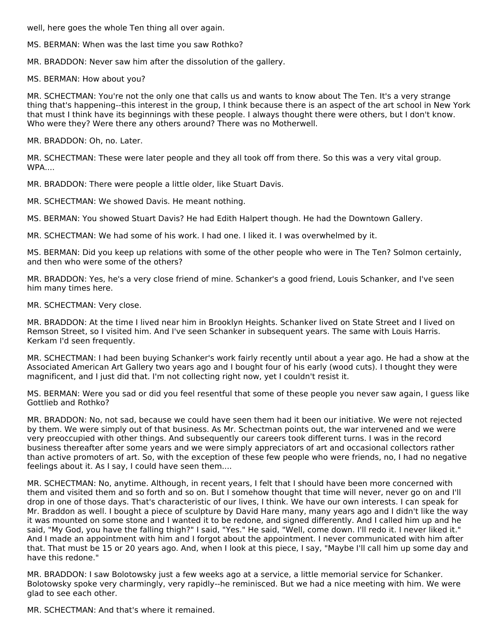well, here goes the whole Ten thing all over again.

MS. BERMAN: When was the last time you saw Rothko?

MR. BRADDON: Never saw him after the dissolution of the gallery.

MS. BERMAN: How about you?

MR. SCHECTMAN: You're not the only one that calls us and wants to know about The Ten. It's a very strange thing that's happening--this interest in the group, I think because there is an aspect of the art school in New York that must I think have its beginnings with these people. I always thought there were others, but I don't know. Who were they? Were there any others around? There was no Motherwell.

MR. BRADDON: Oh, no. Later.

MR. SCHECTMAN: These were later people and they all took off from there. So this was a very vital group. WPA....

MR. BRADDON: There were people a little older, like Stuart Davis.

MR. SCHECTMAN: We showed Davis. He meant nothing.

MS. BERMAN: You showed Stuart Davis? He had Edith Halpert though. He had the Downtown Gallery.

MR. SCHECTMAN: We had some of his work. I had one. I liked it. I was overwhelmed by it.

MS. BERMAN: Did you keep up relations with some of the other people who were in The Ten? Solmon certainly, and then who were some of the others?

MR. BRADDON: Yes, he's a very close friend of mine. Schanker's a good friend, Louis Schanker, and I've seen him many times here.

MR. SCHECTMAN: Very close.

MR. BRADDON: At the time I lived near him in Brooklyn Heights. Schanker lived on State Street and I lived on Remson Street, so I visited him. And I've seen Schanker in subsequent years. The same with Louis Harris. Kerkam I'd seen frequently.

MR. SCHECTMAN: I had been buying Schanker's work fairly recently until about a year ago. He had a show at the Associated American Art Gallery two years ago and I bought four of his early (wood cuts). I thought they were magnificent, and I just did that. I'm not collecting right now, yet I couldn't resist it.

MS. BERMAN: Were you sad or did you feel resentful that some of these people you never saw again, I guess like Gottlieb and Rothko?

MR. BRADDON: No, not sad, because we could have seen them had it been our initiative. We were not rejected by them. We were simply out of that business. As Mr. Schectman points out, the war intervened and we were very preoccupied with other things. And subsequently our careers took different turns. I was in the record business thereafter after some years and we were simply appreciators of art and occasional collectors rather than active promoters of art. So, with the exception of these few people who were friends, no, I had no negative feelings about it. As I say, I could have seen them....

MR. SCHECTMAN: No, anytime. Although, in recent years, I felt that I should have been more concerned with them and visited them and so forth and so on. But I somehow thought that time will never, never go on and I'll drop in one of those days. That's characteristic of our lives, I think. We have our own interests. I can speak for Mr. Braddon as well. I bought a piece of sculpture by David Hare many, many years ago and I didn't like the way it was mounted on some stone and I wanted it to be redone, and signed differently. And I called him up and he said, "My God, you have the falling thigh?" I said, "Yes." He said, "Well, come down. I'll redo it. I never liked it." And I made an appointment with him and I forgot about the appointment. I never communicated with him after that. That must be 15 or 20 years ago. And, when I look at this piece, I say, "Maybe I'll call him up some day and have this redone."

MR. BRADDON: I saw Bolotowsky just a few weeks ago at a service, a little memorial service for Schanker. Bolotowsky spoke very charmingly, very rapidly--he reminisced. But we had a nice meeting with him. We were glad to see each other.

MR. SCHECTMAN: And that's where it remained.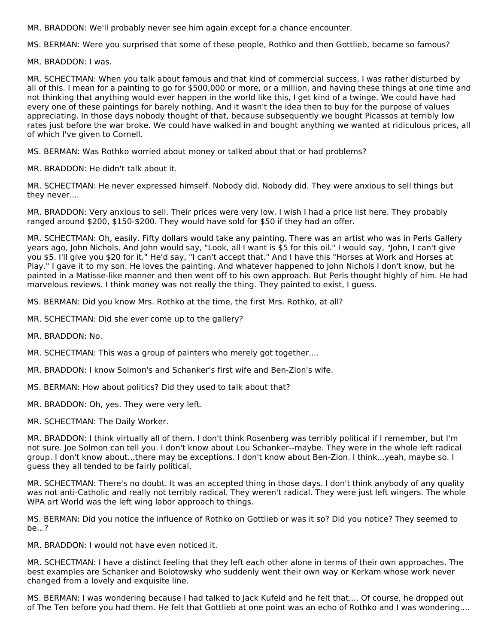MR. BRADDON: We'll probably never see him again except for a chance encounter.

MS. BERMAN: Were you surprised that some of these people, Rothko and then Gottlieb, became so famous?

MR. BRADDON: I was.

MR. SCHECTMAN: When you talk about famous and that kind of commercial success, I was rather disturbed by all of this. I mean for a painting to go for \$500,000 or more, or a million, and having these things at one time and not thinking that anything would ever happen in the world like this, I get kind of a twinge. We could have had every one of these paintings for barely nothing. And it wasn't the idea then to buy for the purpose of values appreciating. In those days nobody thought of that, because subsequently we bought Picassos at terribly low rates just before the war broke. We could have walked in and bought anything we wanted at ridiculous prices, all of which I've given to Cornell.

MS. BERMAN: Was Rothko worried about money or talked about that or had problems?

MR. BRADDON: He didn't talk about it.

MR. SCHECTMAN: He never expressed himself. Nobody did. Nobody did. They were anxious to sell things but they never....

MR. BRADDON: Very anxious to sell. Their prices were very low. I wish I had a price list here. They probably ranged around \$200, \$150-\$200. They would have sold for \$50 if they had an offer.

MR. SCHECTMAN: Oh, easily. Fifty dollars would take any painting. There was an artist who was in Perls Gallery years ago, John Nichols. And John would say, "Look, all I want is \$5 for this oil." I would say, "John, I can't give you \$5. I'll give you \$20 for it." He'd say, "I can't accept that." And I have this "Horses at Work and Horses at Play." I gave it to my son. He loves the painting. And whatever happened to John Nichols I don't know, but he painted in a Matisse-like manner and then went off to his own approach. But Perls thought highly of him. He had marvelous reviews. I think money was not really the thing. They painted to exist, I guess.

MS. BERMAN: Did you know Mrs. Rothko at the time, the first Mrs. Rothko, at all?

- MR. SCHECTMAN: Did she ever come up to the gallery?
- MR. BRADDON: No.
- MR. SCHECTMAN: This was a group of painters who merely got together....
- MR. BRADDON: I know Solmon's and Schanker's first wife and Ben-Zion's wife.
- MS. BERMAN: How about politics? Did they used to talk about that?
- MR. BRADDON: Oh, yes. They were very left.
- MR. SCHECTMAN: The Daily Worker.

MR. BRADDON: I think virtually all of them. I don't think Rosenberg was terribly political if I remember, but I'm not sure. Joe Solmon can tell you. I don't know about Lou Schanker--maybe. They were in the whole left radical group. I don't know about...there may be exceptions. I don't know about Ben-Zion. I think...yeah, maybe so. I guess they all tended to be fairly political.

MR. SCHECTMAN: There's no doubt. It was an accepted thing in those days. I don't think anybody of any quality was not anti-Catholic and really not terribly radical. They weren't radical. They were just left wingers. The whole WPA art World was the left wing labor approach to things.

MS. BERMAN: Did you notice the influence of Rothko on Gottlieb or was it so? Did you notice? They seemed to be...?

MR. BRADDON: I would not have even noticed it.

MR. SCHECTMAN: I have a distinct feeling that they left each other alone in terms of their own approaches. The best examples are Schanker and Bolotowsky who suddenly went their own way or Kerkam whose work never changed from a lovely and exquisite line.

MS. BERMAN: I was wondering because I had talked to Jack Kufeld and he felt that.... Of course, he dropped out of The Ten before you had them. He felt that Gottlieb at one point was an echo of Rothko and I was wondering....